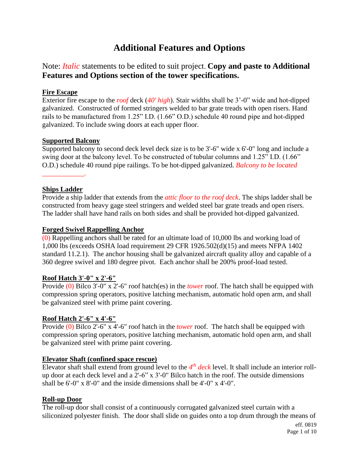# **Additional Features and Options**

# Note: *Italic* statements to be edited to suit project. **Copy and paste to Additional Features and Options section of the tower specifications.**

# **Fire Escape**

Exterior fire escape to the *roof* deck (*40' high*). Stair widths shall be 3'-0" wide and hot-dipped galvanized. Constructed of formed stringers welded to bar grate treads with open risers. Hand rails to be manufactured from 1.25" I.D. (1.66" O.D.) schedule 40 round pipe and hot-dipped galvanized. To include swing doors at each upper floor.

# **Supported Balcony**

Supported balcony to second deck level deck size is to be 3'-6" wide x 6'-0" long and include a swing door at the balcony level. To be constructed of tubular columns and 1.25" I.D. (1.66" O.D.) schedule 40 round pipe railings. To be hot-dipped galvanized. *Balcony to be located* 

# **Ships Ladder**

*\_\_\_\_\_\_\_\_\_\_\_\_.*

Provide a ship ladder that extends from the *attic floor to the roof deck*. The ships ladder shall be constructed from heavy gage steel stringers and welded steel bar grate treads and open risers. The ladder shall have hand rails on both sides and shall be provided hot-dipped galvanized.

# **Forged Swivel Rappelling Anchor**

 $(0)$  Rappelling anchors shall be rated for an ultimate load of 10,000 lbs and working load of 1,000 lbs (exceeds OSHA load requirement 29 CFR 1926.502(d)(15) and meets NFPA 1402 standard 11.2.1). The anchor housing shall be galvanized aircraft quality alloy and capable of a 360 degree swivel and 180 degree pivot. Each anchor shall be 200% proof-load tested.

# **Roof Hatch 3'-0" x 2'-6"**

Provide (0) Bilco 3'-0" x 2'-6" roof hatch(es) in the *tower* roof. The hatch shall be equipped with compression spring operators, positive latching mechanism, automatic hold open arm, and shall be galvanized steel with prime paint covering.

# **Roof Hatch 2'-6" x 4'-6"**

Provide (0) Bilco 2'-6" x 4'-6" roof hatch in the *tower* roof. The hatch shall be equipped with compression spring operators, positive latching mechanism, automatic hold open arm, and shall be galvanized steel with prime paint covering.

# **Elevator Shaft (confined space rescue)**

Elevator shaft shall extend from ground level to the  $4<sup>th</sup>$  *deck* level. It shall include an interior rollup door at each deck level and a 2'-6" x 3'-0" Bilco hatch in the roof. The outside dimensions shall be 6'-0" x 8'-0" and the inside dimensions shall be 4'-0" x 4'-0".

# **Roll-up Door**

The roll-up door shall consist of a continuously corrugated galvanized steel curtain with a siliconized polyester finish. The door shall slide on guides onto a top drum through the means of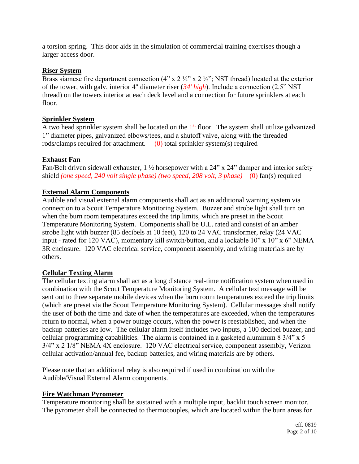a torsion spring. This door aids in the simulation of commercial training exercises though a larger access door.

#### **Riser System**

Brass siamese fire department connection  $(4" \times 2 \frac{1}{2}" \times 2 \frac{1}{2}"$ ; NST thread) located at the exterior of the tower, with galv. interior 4" diameter riser (*34' high*). Include a connection (2.5" NST thread) on the towers interior at each deck level and a connection for future sprinklers at each floor.

#### **Sprinkler System**

A two head sprinkler system shall be located on the 1<sup>st</sup> floor. The system shall utilize galvanized 1" diameter pipes, galvanized elbows/tees, and a shutoff valve, along with the threaded rods/clamps required for attachment.  $-$  (0) total sprinkler system(s) required

# **Exhaust Fan**

Fan/Belt driven sidewall exhauster, 1 <sup>1</sup>/<sub>2</sub> horsepower with a 24" x 24" damper and interior safety shield *(one speed, 240 volt single phase) (two speed, 208 volt, 3 phase)* – (0) fan(s) required

# **External Alarm Components**

Audible and visual external alarm components shall act as an additional warning system via connection to a Scout Temperature Monitoring System. Buzzer and strobe light shall turn on when the burn room temperatures exceed the trip limits, which are preset in the Scout Temperature Monitoring System. Components shall be U.L. rated and consist of an amber strobe light with buzzer (85 decibels at 10 feet), 120 to 24 VAC transformer, relay (24 VAC input - rated for 120 VAC), momentary kill switch/button, and a lockable 10" x 10" x 6" NEMA 3R enclosure. 120 VAC electrical service, component assembly, and wiring materials are by others.

# **Cellular Texting Alarm**

The cellular texting alarm shall act as a long distance real-time notification system when used in combination with the Scout Temperature Monitoring System. A cellular text message will be sent out to three separate mobile devices when the burn room temperatures exceed the trip limits (which are preset via the Scout Temperature Monitoring System). Cellular messages shall notify the user of both the time and date of when the temperatures are exceeded, when the temperatures return to normal, when a power outage occurs, when the power is reestablished, and when the backup batteries are low. The cellular alarm itself includes two inputs, a 100 decibel buzzer, and cellular programming capabilities. The alarm is contained in a gasketed aluminum 8 3/4" x 5 3/4" x 2 1/8" NEMA 4X enclosure. 120 VAC electrical service, component assembly, Verizon cellular activation/annual fee, backup batteries, and wiring materials are by others.

Please note that an additional relay is also required if used in combination with the Audible/Visual External Alarm components.

# **Fire Watchman Pyrometer**

Temperature monitoring shall be sustained with a multiple input, backlit touch screen monitor. The pyrometer shall be connected to thermocouples, which are located within the burn areas for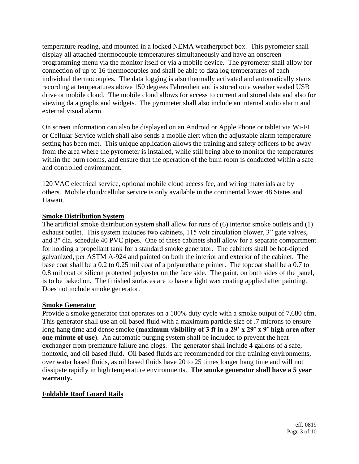temperature reading, and mounted in a locked NEMA weatherproof box. This pyrometer shall display all attached thermocouple temperatures simultaneously and have an onscreen programming menu via the monitor itself or via a mobile device. The pyrometer shall allow for connection of up to 16 thermocouples and shall be able to data log temperatures of each individual thermocouples. The data logging is also thermally activated and automatically starts recording at temperatures above 150 degrees Fahrenheit and is stored on a weather sealed USB drive or mobile cloud. The mobile cloud allows for access to current and stored data and also for viewing data graphs and widgets. The pyrometer shall also include an internal audio alarm and external visual alarm.

On screen information can also be displayed on an Android or Apple Phone or tablet via Wi-FI or Cellular Service which shall also sends a mobile alert when the adjustable alarm temperature setting has been met. This unique application allows the training and safety officers to be away from the area where the pyrometer is installed, while still being able to monitor the temperatures within the burn rooms, and ensure that the operation of the burn room is conducted within a safe and controlled environment.

120 VAC electrical service, optional mobile cloud access fee, and wiring materials are by others. Mobile cloud/cellular service is only available in the continental lower 48 States and Hawaii.

# **Smoke Distribution System**

The artificial smoke distribution system shall allow for runs of (6) interior smoke outlets and (1) exhaust outlet. This system includes two cabinets, 115 volt circulation blower, 3" gate valves, and 3" dia. schedule 40 PVC pipes. One of these cabinets shall allow for a separate compartment for holding a propellant tank for a standard smoke generator. The cabinets shall be hot-dipped galvanized, per ASTM A-924 and painted on both the interior and exterior of the cabinet. The base coat shall be a 0.2 to 0.25 mil coat of a polyurethane primer. The topcoat shall be a 0.7 to 0.8 mil coat of silicon protected polyester on the face side. The paint, on both sides of the panel, is to be baked on. The finished surfaces are to have a light wax coating applied after painting. Does not include smoke generator.

#### **Smoke Generator**

Provide a smoke generator that operates on a 100% duty cycle with a smoke output of 7,680 cfm. This generator shall use an oil based fluid with a maximum particle size of .7 microns to ensure long hang time and dense smoke (**maximum visibility of 3 ft in a 29' x 29' x 9' high area after one minute of use**). An automatic purging system shall be included to prevent the heat exchanger from premature failure and clogs. The generator shall include 4 gallons of a safe, nontoxic, and oil based fluid. Oil based fluids are recommended for fire training environments, over water based fluids, as oil based fluids have 20 to 25 times longer hang time and will not dissipate rapidly in high temperature environments. **The smoke generator shall have a 5 year warranty.**

# **Foldable Roof Guard Rails**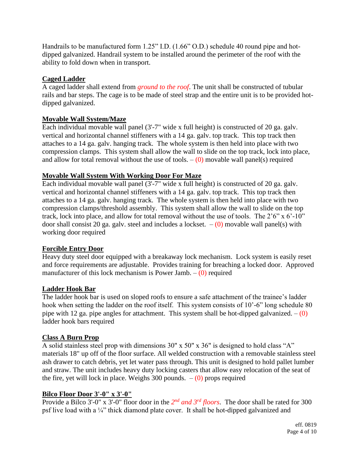Handrails to be manufactured form 1.25" I.D. (1.66" O.D.) schedule 40 round pipe and hotdipped galvanized. Handrail system to be installed around the perimeter of the roof with the ability to fold down when in transport.

# **Caged Ladder**

A caged ladder shall extend from *ground to the roof*. The unit shall be constructed of tubular rails and bar steps. The cage is to be made of steel strap and the entire unit is to be provided hotdipped galvanized.

# **Movable Wall System/Maze**

Each individual movable wall panel (3'-7" wide x full height) is constructed of 20 ga. galv. vertical and horizontal channel stiffeners with a 14 ga. galv. top track. This top track then attaches to a 14 ga. galv. hanging track. The whole system is then held into place with two compression clamps. This system shall allow the wall to slide on the top track, lock into place, and allow for total removal without the use of tools.  $-$  (0) movable wall panel(s) required

# **Movable Wall System With Working Door For Maze**

Each individual movable wall panel (3'-7" wide x full height) is constructed of 20 ga. galv. vertical and horizontal channel stiffeners with a 14 ga. galv. top track. This top track then attaches to a 14 ga. galv. hanging track. The whole system is then held into place with two compression clamps/threshold assembly. This system shall allow the wall to slide on the top track, lock into place, and allow for total removal without the use of tools. The 2'6" x 6'-10" door shall consist 20 ga. galv. steel and includes a lockset.  $-(0)$  movable wall panel(s) with working door required

# **Forcible Entry Door**

Heavy duty steel door equipped with a breakaway lock mechanism. Lock system is easily reset and force requirements are adjustable. Provides training for breaching a locked door. Approved manufacturer of this lock mechanism is Power Jamb.  $-$  (0) required

# **Ladder Hook Bar**

The ladder hook bar is used on sloped roofs to ensure a safe attachment of the trainee's ladder hook when setting the ladder on the roof itself. This system consists of 10'-6" long schedule 80 pipe with 12 ga. pipe angles for attachment. This system shall be hot-dipped galvanized.  $-$  (0) ladder hook bars required

# **Class A Burn Prop**

A solid stainless steel prop with dimensions 30" x 50" x 36" is designed to hold class "A" materials 18" up off of the floor surface. All welded construction with a removable stainless steel ash drawer to catch debris, yet let water pass through. This unit is designed to hold pallet lumber and straw. The unit includes heavy duty locking casters that allow easy relocation of the seat of the fire, yet will lock in place. Weighs 300 pounds.  $-(0)$  props required

# **Bilco Floor Door 3'-0" x 3'-0"**

Provide a Bilco 3'-0" x 3'-0" floor door in the 2<sup>nd</sup> and 3<sup>rd</sup> floors. The door shall be rated for 300 psf live load with a ¼" thick diamond plate cover. It shall be hot-dipped galvanized and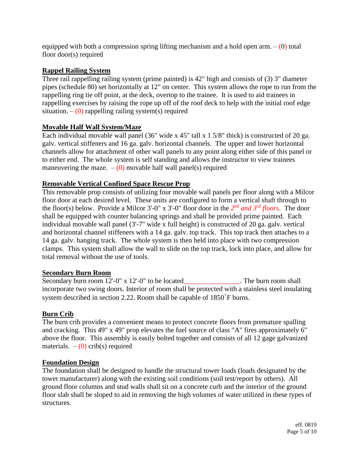equipped with both a compression spring lifting mechanism and a hold open arm.  $-$  (0) total floor door(s) required

# **Rappel Railing System**

Three rail rappelling railing system (prime painted) is 42" high and consists of (3) 3" diameter pipes (schedule 80) set horizontally at 12" on center. This system allows the rope to run from the rappelling ring tie off point, at the deck, overtop to the trainee. It is used to aid trainees in rappelling exercises by raising the rope up off of the roof deck to help with the initial roof edge situation.  $-$  (0) rappelling railing system(s) required

# **Movable Half Wall System/Maze**

Each individual movable wall panel (36" wide x 45" tall x 1 5/8" thick) is constructed of 20 ga. galv. vertical stiffeners and 16 ga. galv. horizontal channels. The upper and lower horizontal channels allow for attachment of other wall panels to any point along either side of this panel or to either end. The whole system is self standing and allows the instructor to view trainees maneuvering the maze.  $-$  (0) movable half wall panel(s) required

# **Removable Vertical Confined Space Rescue Prop**

This removable prop consists of utilizing four movable wall panels per floor along with a Milcor floor door at each desired level. These units are configured to form a vertical shaft through to the floor(s) below. Provide a Milcor 3'-0" x 3'-0" floor door in the *2 nd and 3rd floors*. The door shall be equipped with counter balancing springs and shall be provided prime painted. Each individual movable wall panel (3'-7" wide x full height) is constructed of 20 ga. galv. vertical and horizontal channel stiffeners with a 14 ga. galv. top track. This top track then attaches to a 14 ga. galv. hanging track. The whole system is then held into place with two compression clamps. This system shall allow the wall to slide on the top track, lock into place, and allow for total removal without the use of tools.

# **Secondary Burn Room**

Secondary burn room 12'-0" x 12'-0" to be located\_\_\_\_\_\_\_\_\_\_\_\_\_\_\_. The burn room shall incorporate two swing doors. Interior of room shall be protected with a stainless steel insulating system described in section 2.22. Room shall be capable of 1850˚F burns.

# **Burn Crib**

The burn crib provides a convenient means to protect concrete floors from premature spalling and cracking. This 49" x 49" prop elevates the fuel source of class "A" fires approximately 6" above the floor. This assembly is easily bolted together and consists of all 12 gage galvanized materials.  $-$  (0) crib(s) required

# **Foundation Design**

The foundation shall be designed to handle the structural tower loads (loads designated by the tower manufacturer) along with the existing soil conditions (soil test/report by others). All ground floor columns and stud walls shall sit on a concrete curb and the interior of the ground floor slab shall be sloped to aid in removing the high volumes of water utilized in these types of structures.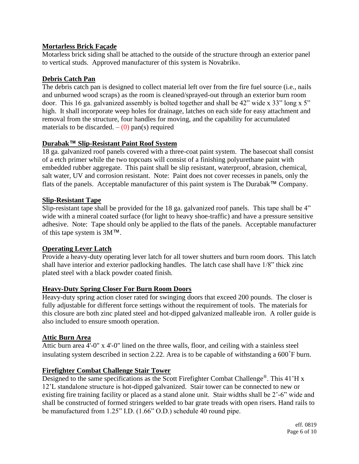# **Mortarless Brick Façade**

Motarless brick siding shall be attached to the outside of the structure through an exterior panel to vertical studs. Approved manufacturer of this system is Novabrik®.

# **Debris Catch Pan**

The debris catch pan is designed to collect material left over from the fire fuel source (i.e., nails and unburned wood scraps) as the room is cleaned/sprayed-out through an exterior burn room door. This 16 ga. galvanized assembly is bolted together and shall be 42" wide x 33" long x 5" high. It shall incorporate weep holes for drainage, latches on each side for easy attachment and removal from the structure, four handles for moving, and the capability for accumulated materials to be discarded.  $-$  (0) pan(s) required

# **Durabak™ Slip-Resistant Paint Roof System**

18 ga. galvanized roof panels covered with a three-coat paint system. The basecoat shall consist of a etch primer while the two topcoats will consist of a finishing polyurethane paint with embedded rubber aggregate. This paint shall be slip resistant, waterproof, abrasion, chemical, salt water, UV and corrosion resistant. Note: Paint does not cover recesses in panels, only the flats of the panels. Acceptable manufacturer of this paint system is The Durabak™ Company.

# **Slip-Resistant Tape**

Slip-resistant tape shall be provided for the 18 ga. galvanized roof panels. This tape shall be 4" wide with a mineral coated surface (for light to heavy shoe-traffic) and have a pressure sensitive adhesive. Note: Tape should only be applied to the flats of the panels. Acceptable manufacturer of this tape system is 3M™.

# **Operating Lever Latch**

Provide a heavy-duty operating lever latch for all tower shutters and burn room doors. This latch shall have interior and exterior padlocking handles. The latch case shall have 1/8" thick zinc plated steel with a black powder coated finish.

# **Heavy-Duty Spring Closer For Burn Room Doors**

Heavy-duty spring action closer rated for swinging doors that exceed 200 pounds. The closer is fully adjustable for different force settings without the requirement of tools. The materials for this closure are both zinc plated steel and hot-dipped galvanized malleable iron. A roller guide is also included to ensure smooth operation.

# **Attic Burn Area**

Attic burn area 4'-0" x 4'-0" lined on the three walls, floor, and ceiling with a stainless steel insulating system described in section 2.22. Area is to be capable of withstanding a 600˚F burn.

# **Firefighter Combat Challenge Stair Tower**

Designed to the same specifications as the Scott Firefighter Combat Challenge®. This 41'H x 12'L standalone structure is hot-dipped galvanized. Stair tower can be connected to new or existing fire training facility or placed as a stand alone unit. Stair widths shall be 2'-6" wide and shall be constructed of formed stringers welded to bar grate treads with open risers. Hand rails to be manufactured from 1.25" I.D. (1.66" O.D.) schedule 40 round pipe.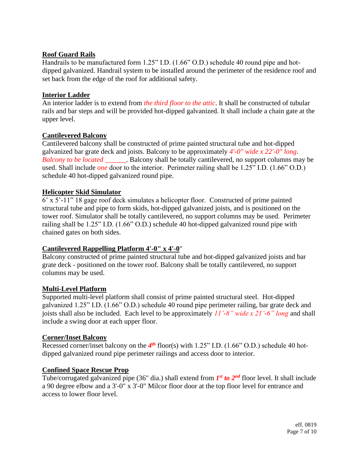# **Roof Guard Rails**

Handrails to be manufactured form 1.25" I.D. (1.66" O.D.) schedule 40 round pipe and hotdipped galvanized. Handrail system to be installed around the perimeter of the residence roof and set back from the edge of the roof for additional safety.

# **Interior Ladder**

An interior ladder is to extend from *the third floor to the attic*. It shall be constructed of tubular rails and bar steps and will be provided hot-dipped galvanized. It shall include a chain gate at the upper level.

# **Cantilevered Balcony**

Cantilevered balcony shall be constructed of prime painted structural tube and hot-dipped galvanized bar grate deck and joists. Balcony to be approximately *4'-0" wide x 22'-0" long*. *Balcony to be located \_\_\_\_\_\_*. Balcony shall be totally cantilevered, no support columns may be used. Shall include *one* door to the interior. Perimeter railing shall be 1.25" I.D. (1.66" O.D.) schedule 40 hot-dipped galvanized round pipe.

# **Helicopter Skid Simulator**

6' x 5'-11" 18 gage roof deck simulates a helicopter floor. Constructed of prime painted structural tube and pipe to form skids, hot-dipped galvanized joists, and is positioned on the tower roof. Simulator shall be totally cantilevered, no support columns may be used. Perimeter railing shall be 1.25" I.D. (1.66" O.D.) schedule 40 hot-dipped galvanized round pipe with chained gates on both sides.

# **Cantilevered Rappelling Platform 4'-0" x 4'-0**"

Balcony constructed of prime painted structural tube and hot-dipped galvanized joists and bar grate deck - positioned on the tower roof. Balcony shall be totally cantilevered, no support columns may be used.

# **Multi-Level Platform**

Supported multi-level platform shall consist of prime painted structural steel. Hot-dipped galvanized 1.25" I.D. (1.66" O.D.) schedule 40 round pipe perimeter railing, bar grate deck and joists shall also be included. Each level to be approximately *11'-8" wide x 21'-6" long* and shall include a swing door at each upper floor.

# **Corner/Inset Balcony**

Recessed corner/inset balcony on the 4<sup>th</sup> floor(s) with 1.25" I.D. (1.66" O.D.) schedule 40 hotdipped galvanized round pipe perimeter railings and access door to interior.

# **Confined Space Rescue Prop**

Tube/corrugated galvanized pipe (36" dia.) shall extend from *1<sup>st</sup> to 2<sup>nd</sup>* floor level. It shall include a 90 degree elbow and a 3'-0" x 3'-0" Milcor floor door at the top floor level for entrance and access to lower floor level.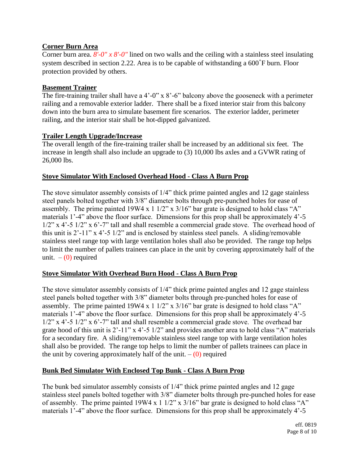# **Corner Burn Area**

Corner burn area. *8'-0" x 8'-0"* lined on two walls and the ceiling with a stainless steel insulating system described in section 2.22. Area is to be capable of withstanding a 600˚F burn. Floor protection provided by others.

#### **Basement Trainer**

The fire-training trailer shall have a 4'-0" x 8'-6" balcony above the gooseneck with a perimeter railing and a removable exterior ladder. There shall be a fixed interior stair from this balcony down into the burn area to simulate basement fire scenarios. The exterior ladder, perimeter railing, and the interior stair shall be hot-dipped galvanized.

# **Trailer Length Upgrade/Increase**

The overall length of the fire-training trailer shall be increased by an additional six feet. The increase in length shall also include an upgrade to (3) 10,000 lbs axles and a GVWR rating of 26,000 lbs.

#### **Stove Simulator With Enclosed Overhead Hood - Class A Burn Prop**

The stove simulator assembly consists of 1/4" thick prime painted angles and 12 gage stainless steel panels bolted together with 3/8" diameter bolts through pre-punched holes for ease of assembly. The prime painted  $19W4 \times 11/2$ " x  $3/16$ " bar grate is designed to hold class "A" materials 1'-4" above the floor surface. Dimensions for this prop shall be approximately 4'-5 1/2" x 4'-5 1/2" x 6'-7" tall and shall resemble a commercial grade stove. The overhead hood of this unit is  $2^1$ -11" x 4'-5 1/2" and is enclosed by stainless steel panels. A sliding/removable stainless steel range top with large ventilation holes shall also be provided. The range top helps to limit the number of pallets trainees can place in the unit by covering approximately half of the unit.  $-$  (0) required

# **Stove Simulator With Overhead Burn Hood - Class A Burn Prop**

The stove simulator assembly consists of 1/4" thick prime painted angles and 12 gage stainless steel panels bolted together with 3/8" diameter bolts through pre-punched holes for ease of assembly. The prime painted 19W4 x 1 1/2" x 3/16" bar grate is designed to hold class "A" materials 1'-4" above the floor surface. Dimensions for this prop shall be approximately 4'-5 1/2" x 4'-5 1/2" x 6'-7" tall and shall resemble a commercial grade stove. The overhead bar grate hood of this unit is 2'-11" x 4'-5 1/2" and provides another area to hold class "A" materials for a secondary fire. A sliding/removable stainless steel range top with large ventilation holes shall also be provided. The range top helps to limit the number of pallets trainees can place in the unit by covering approximately half of the unit.  $-$  (0) required

# **Bunk Bed Simulator With Enclosed Top Bunk - Class A Burn Prop**

The bunk bed simulator assembly consists of 1/4" thick prime painted angles and 12 gage stainless steel panels bolted together with 3/8" diameter bolts through pre-punched holes for ease of assembly. The prime painted 19W4 x 1 1/2" x 3/16" bar grate is designed to hold class "A" materials 1'-4" above the floor surface. Dimensions for this prop shall be approximately 4'-5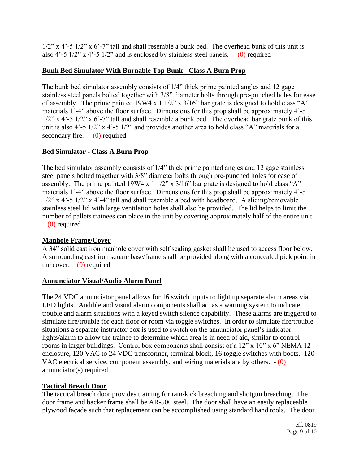$1/2$ " x 4'-5  $1/2$ " x 6'-7" tall and shall resemble a bunk bed. The overhead bunk of this unit is also 4'-5  $1/2$ " x 4'-5  $1/2$ " and is enclosed by stainless steel panels.  $-$  (0) required

# **Bunk Bed Simulator With Burnable Top Bunk - Class A Burn Prop**

The bunk bed simulator assembly consists of 1/4" thick prime painted angles and 12 gage stainless steel panels bolted together with 3/8" diameter bolts through pre-punched holes for ease of assembly. The prime painted 19W4 x 1 1/2" x 3/16" bar grate is designed to hold class "A" materials 1'-4" above the floor surface. Dimensions for this prop shall be approximately 4'-5 1/2" x 4'-5 1/2" x 6'-7" tall and shall resemble a bunk bed. The overhead bar grate bunk of this unit is also 4'-5 1/2" x 4'-5 1/2" and provides another area to hold class "A" materials for a secondary fire.  $-$  (0) required

# **Bed Simulator - Class A Burn Prop**

The bed simulator assembly consists of 1/4" thick prime painted angles and 12 gage stainless steel panels bolted together with 3/8" diameter bolts through pre-punched holes for ease of assembly. The prime painted  $19W4 \times 11/2$ " x  $3/16$ " bar grate is designed to hold class "A" materials 1'-4" above the floor surface. Dimensions for this prop shall be approximately 4'-5 1/2" x 4'-5 1/2" x 4'-4" tall and shall resemble a bed with headboard. A sliding/removable stainless steel lid with large ventilation holes shall also be provided. The lid helps to limit the number of pallets trainees can place in the unit by covering approximately half of the entire unit.  $-$  (0) required

# **Manhole Frame/Cover**

A 34" solid cast iron manhole cover with self sealing gasket shall be used to access floor below. A surrounding cast iron square base/frame shall be provided along with a concealed pick point in the cover.  $-$  (0) required

# **Annunciator Visual/Audio Alarm Panel**

The 24 VDC annunciator panel allows for 16 switch inputs to light up separate alarm areas via LED lights. Audible and visual alarm components shall act as a warning system to indicate trouble and alarm situations with a keyed switch silence capability. These alarms are triggered to simulate fire/trouble for each floor or room via toggle switches. In order to simulate fire/trouble situations a separate instructor box is used to switch on the annunciator panel's indicator lights/alarm to allow the trainee to determine which area is in need of aid, similar to control rooms in larger buildings. Control box components shall consist of a 12" x 10" x 6" NEMA 12 enclosure, 120 VAC to 24 VDC transformer, terminal block, 16 toggle switches with boots. 120 VAC electrical service, component assembly, and wiring materials are by others. - (0) annunciator(s) required

# **Tactical Breach Door**

The tactical breach door provides training for ram/kick breaching and shotgun breaching. The door frame and backer frame shall be AR-500 steel. The door shall have an easily replaceable plywood façade such that replacement can be accomplished using standard hand tools. The door